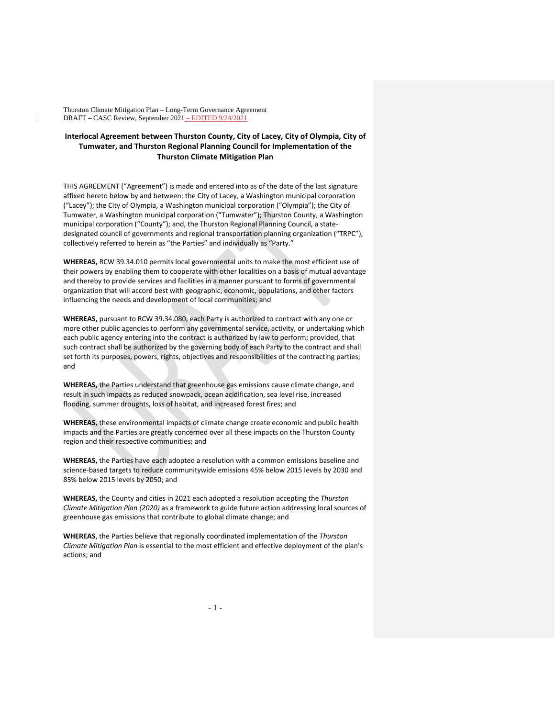## **Interlocal Agreement between Thurston County, City of Lacey, City of Olympia, City of Tumwater, and Thurston Regional Planning Council for Implementation of the Thurston Climate Mitigation Plan**

THIS AGREEMENT ("Agreement") is made and entered into as of the date of the last signature affixed hereto below by and between: the City of Lacey, a Washington municipal corporation ("Lacey"); the City of Olympia, a Washington municipal corporation ("Olympia"); the City of Tumwater, a Washington municipal corporation ("Tumwater"); Thurston County, a Washington municipal corporation ("County"); and, the Thurston Regional Planning Council, a statedesignated council of governments and regional transportation planning organization ("TRPC"), collectively referred to herein as "the Parties" and individually as "Party."

**WHEREAS,** RCW 39.34.010 permits local governmental units to make the most efficient use of their powers by enabling them to cooperate with other localities on a basis of mutual advantage and thereby to provide services and facilities in a manner pursuant to forms of governmental organization that will accord best with geographic, economic, populations, and other factors influencing the needs and development of local communities; and

**WHEREAS,** pursuant to RCW 39.34.080, each Party is authorized to contract with any one or more other public agencies to perform any governmental service, activity, or undertaking which each public agency entering into the contract is authorized by law to perform; provided, that such contract shall be authorized by the governing body of each Party to the contract and shall set forth its purposes, powers, rights, objectives and responsibilities of the contracting parties; and

**WHEREAS,** the Parties understand that greenhouse gas emissions cause climate change, and result in such impacts as reduced snowpack, ocean acidification, sea level rise, increased flooding, summer droughts, loss of habitat, and increased forest fires; and

**WHEREAS,** these environmental impacts of climate change create economic and public health impacts and the Parties are greatly concerned over all these impacts on the Thurston County region and their respective communities; and

**WHEREAS,** the Parties have each adopted a resolution with a common emissions baseline and science-based targets to reduce communitywide emissions 45% below 2015 levels by 2030 and 85% below 2015 levels by 2050; and

**WHEREAS,** the County and cities in 2021 each adopted a resolution accepting the *Thurston Climate Mitigation Plan (2020)* as a framework to guide future action addressing local sources of greenhouse gas emissions that contribute to global climate change; and

**WHEREAS**, the Parties believe that regionally coordinated implementation of the *Thurston Climate Mitigation Plan* is essential to the most efficient and effective deployment of the plan's actions; and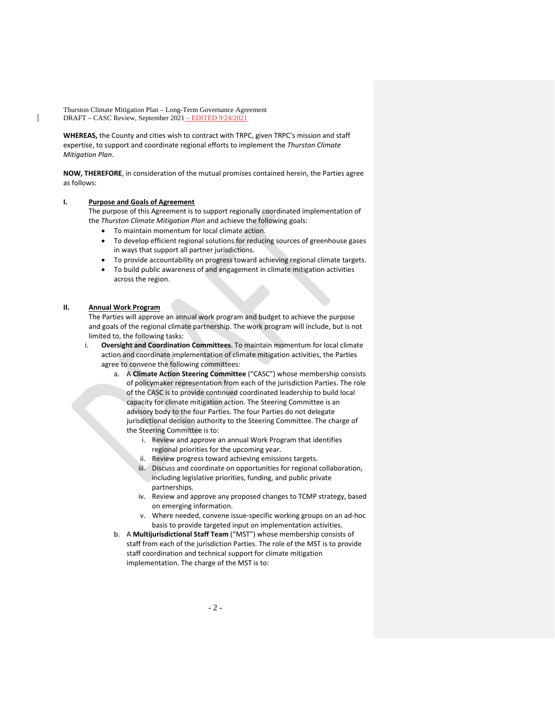**WHEREAS,** the County and cities wish to contract with TRPC, given TRPC's mission and staff expertise, to support and coordinate regional efforts to implement the *Thurston Climate Mitigation Plan*.

**NOW, THEREFORE**, in consideration of the mutual promises contained herein, the Parties agree as follows:

## **I. Purpose and Goals of Agreement**

The purpose of this Agreement is to support regionally coordinated implementation of the *Thurston Climate Mitigation Plan* and achieve the following goals:

- To maintain momentum for local climate action.
- To develop efficient regional solutions for reducing sources of greenhouse gases in ways that support all partner jurisdictions.
- To provide accountability on progress toward achieving regional climate targets.
- To build public awareness of and engagement in climate mitigation activities across the region.

## **II. Annual Work Program**

The Parties will approve an annual work program and budget to achieve the purpose and goals of the regional climate partnership. The work program will include, but is not limited to, the following tasks:

- i. **Oversight and Coordination Committees**. To maintain momentum for local climate action and coordinate implementation of climate mitigation activities, the Parties agree to convene the following committees:
	- a. A **Climate Action Steering Committee** ("CASC") whose membership consists of policymaker representation from each of the jurisdiction Parties. The role of the CASC is to provide continued coordinated leadership to build local capacity for climate mitigation action. The Steering Committee is an advisory body to the four Parties. The four Parties do not delegate jurisdictional decision authority to the Steering Committee. The charge of the Steering Committee is to:
		- i. Review and approve an annual Work Program that identifies regional priorities for the upcoming year.
		- ii. Review progress toward achieving emissions targets.
		- iii. Discuss and coordinate on opportunities for regional collaboration, including legislative priorities, funding, and public private partnerships.
		- iv. Review and approve any proposed changes to TCMP strategy, based on emerging information.
		- v. Where needed, convene issue-specific working groups on an ad-hoc basis to provide targeted input on implementation activities.
	- b. A **Multijurisdictional Staff Team** ("MST") whose membership consists of staff from each of the jurisdiction Parties. The role of the MST is to provide staff coordination and technical support for climate mitigation implementation. The charge of the MST is to: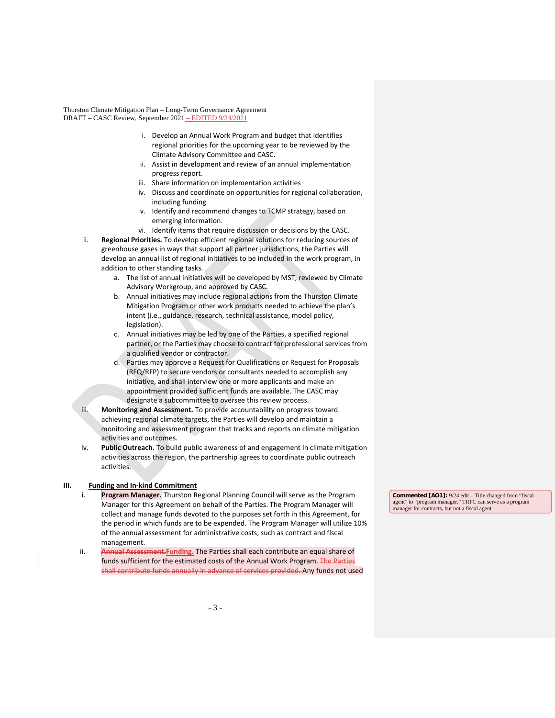- i. Develop an Annual Work Program and budget that identifies regional priorities for the upcoming year to be reviewed by the Climate Advisory Committee and CASC.
- ii. Assist in development and review of an annual implementation progress report.
- iii. Share information on implementation activities
- iv. Discuss and coordinate on opportunities for regional collaboration, including funding
- v. Identify and recommend changes to TCMP strategy, based on emerging information.
- vi. Identify items that require discussion or decisions by the CASC.
- ii. **Regional Priorities.** To develop efficient regional solutions for reducing sources of greenhouse gases in ways that support all partner jurisdictions, the Parties will develop an annual list of regional initiatives to be included in the work program, in addition to other standing tasks.
	- a. The list of annual initiatives will be developed by MST, reviewed by Climate Advisory Workgroup, and approved by CASC.
	- b. Annual initiatives may include regional actions from the Thurston Climate Mitigation Program or other work products needed to achieve the plan's intent (i.e., guidance, research, technical assistance, model policy, legislation).
	- c. Annual initiatives may be led by one of the Parties, a specified regional partner, or the Parties may choose to contract for professional services from a qualified vendor or contractor.
	- d. Parties may approve a Request for Qualifications or Request for Proposals (RFQ/RFP) to secure vendors or consultants needed to accomplish any initiative, and shall interview one or more applicants and make an appointment provided sufficient funds are available. The CASC may designate a subcommittee to oversee this review process.
- iii. **Monitoring and Assessment.** To provide accountability on progress toward achieving regional climate targets, the Parties will develop and maintain a monitoring and assessment program that tracks and reports on climate mitigation activities and outcomes.
- iv. **Public Outreach.** To build public awareness of and engagement in climate mitigation activities across the region, the partnership agrees to coordinate public outreach activities.

## **III. Funding and In-kind Commitment**

- i. **Program Manager.** Thurston Regional Planning Council will serve as the Program Manager for this Agreement on behalf of the Parties. The Program Manager will collect and manage funds devoted to the purposes set forth in this Agreement, for the period in which funds are to be expended. The Program Manager will utilize 10% of the annual assessment for administrative costs, such as contract and fiscal management.
- ii. **Annual Assessment.Funding.** The Parties shall each contribute an equal share of funds sufficient for the estimated costs of the Annual Work Program. The Parties shall contribute funds annually in advance of services provided. Any funds not used

**Commented [AO1]:** 9/24 edit – Title changed from "fiscal agent" to "program manager." TRPC can serve as a progra manager for contracts, but not a fiscal agent.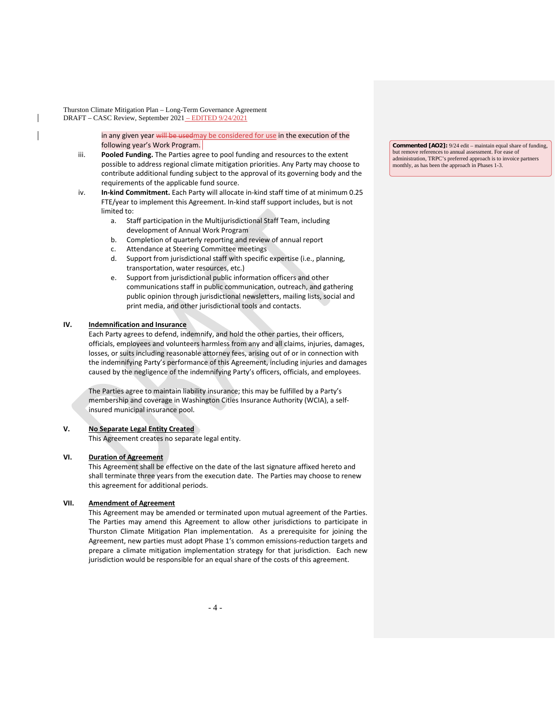> in any given year will be usedmay be considered for use in the execution of the following year's Work Program.

- iii. **Pooled Funding.** The Parties agree to pool funding and resources to the extent possible to address regional climate mitigation priorities. Any Party may choose to contribute additional funding subject to the approval of its governing body and the requirements of the applicable fund source.
- iv. **In-kind Commitment.** Each Party will allocate in-kind staff time of at minimum 0.25 FTE/year to implement this Agreement. In-kind staff support includes, but is not limited to:
	- a. Staff participation in the Multijurisdictional Staff Team, including development of Annual Work Program
	- b. Completion of quarterly reporting and review of annual report
	- c. Attendance at Steering Committee meetings
	- d. Support from jurisdictional staff with specific expertise (i.e., planning, transportation, water resources, etc.)
	- e. Support from jurisdictional public information officers and other communications staff in public communication, outreach, and gathering public opinion through jurisdictional newsletters, mailing lists, social and print media, and other jurisdictional tools and contacts.

## **IV. Indemnification and Insurance**

Each Party agrees to defend, indemnify, and hold the other parties, their officers, officials, employees and volunteers harmless from any and all claims, injuries, damages, losses, or suits including reasonable attorney fees, arising out of or in connection with the indemnifying Party's performance of this Agreement, including injuries and damages caused by the negligence of the indemnifying Party's officers, officials, and employees.

The Parties agree to maintain liability insurance; this may be fulfilled by a Party's membership and coverage in Washington Cities Insurance Authority (WCIA), a selfinsured municipal insurance pool.

## **V. No Separate Legal Entity Created**

This Agreement creates no separate legal entity.

#### **VI. Duration of Agreement**

This Agreement shall be effective on the date of the last signature affixed hereto and shall terminate three years from the execution date. The Parties may choose to renew this agreement for additional periods.

## **VII. Amendment of Agreement**

This Agreement may be amended or terminated upon mutual agreement of the Parties. The Parties may amend this Agreement to allow other jurisdictions to participate in Thurston Climate Mitigation Plan implementation. As a prerequisite for joining the Agreement, new parties must adopt Phase 1's common emissions-reduction targets and prepare a climate mitigation implementation strategy for that jurisdiction. Each new jurisdiction would be responsible for an equal share of the costs of this agreement.

**Commented [AO2]:** 9/24 edit – maintain equal share of funding, but remove references to annual assessment. For ease of administration, TRPC's preferred approach is to invoice partners monthly, as has been the approach in Phases 1-3.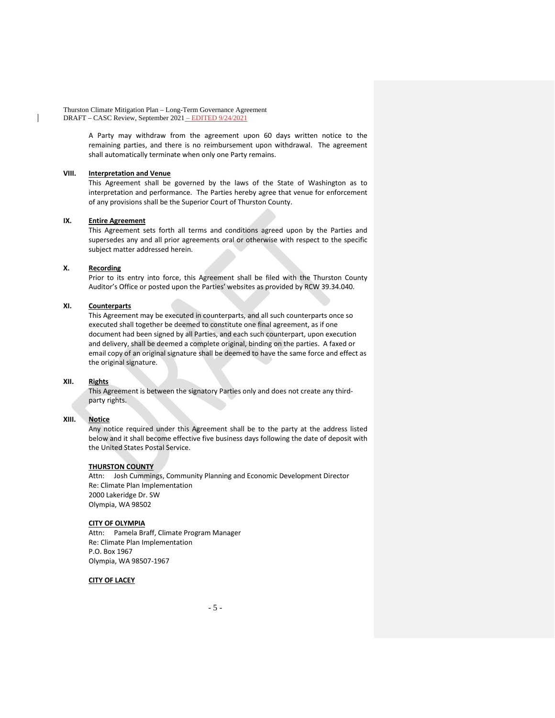> A Party may withdraw from the agreement upon 60 days written notice to the remaining parties, and there is no reimbursement upon withdrawal. The agreement shall automatically terminate when only one Party remains.

## **VIII. Interpretation and Venue**

This Agreement shall be governed by the laws of the State of Washington as to interpretation and performance. The Parties hereby agree that venue for enforcement of any provisions shall be the Superior Court of Thurston County.

## **IX. Entire Agreement**

This Agreement sets forth all terms and conditions agreed upon by the Parties and supersedes any and all prior agreements oral or otherwise with respect to the specific subject matter addressed herein.

#### **X. Recording**

Prior to its entry into force, this Agreement shall be filed with the Thurston County Auditor's Office or posted upon the Parties' websites as provided by RCW 39.34.040.

## **XI. Counterparts**

This Agreement may be executed in counterparts, and all such counterparts once so executed shall together be deemed to constitute one final agreement, as if one document had been signed by all Parties, and each such counterpart, upon execution and delivery, shall be deemed a complete original, binding on the parties. A faxed or email copy of an original signature shall be deemed to have the same force and effect as the original signature.

#### **XII. Rights**

This Agreement is between the signatory Parties only and does not create any thirdparty rights.

## **XIII. Notice**

Any notice required under this Agreement shall be to the party at the address listed below and it shall become effective five business days following the date of deposit with the United States Postal Service.

## **THURSTON COUNTY**

Attn: Josh Cummings, Community Planning and Economic Development Director Re: Climate Plan Implementation 2000 Lakeridge Dr. SW Olympia, WA 98502

## **CITY OF OLYMPIA**

Attn: Pamela Braff, Climate Program Manager Re: Climate Plan Implementation P.O. Box 1967 Olympia, WA 98507-1967

#### **CITY OF LACEY**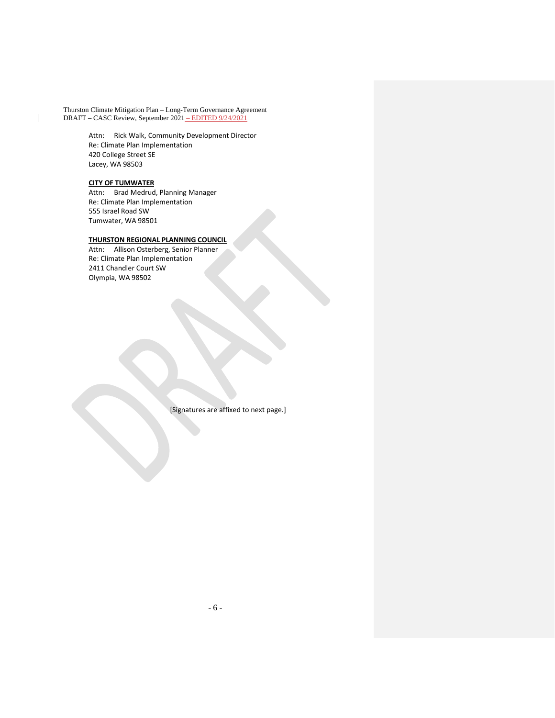> Attn: Rick Walk, Community Development Director Re: Climate Plan Implementation 420 College Street SE Lacey, WA 98503

## **CITY OF TUMWATER**

Attn: Brad Medrud, Planning Manager Re: Climate Plan Implementation 555 Israel Road SW Tumwater, WA 98501

## **THURSTON REGIONAL PLANNING COUNCIL**

Attn: Allison Osterberg, Senior Planner Re: Climate Plan Implementation 2411 Chandler Court SW Olympia, WA 98502

[Signatures are affixed to next page.]